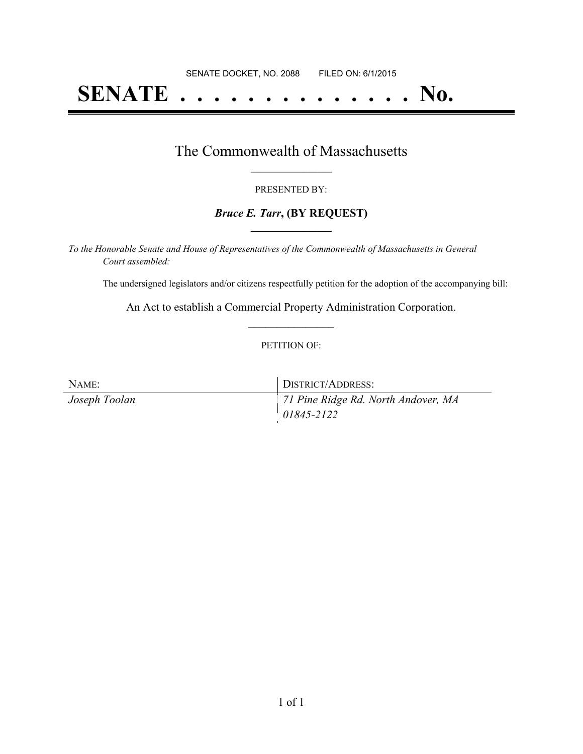# **SENATE . . . . . . . . . . . . . . No.**

### The Commonwealth of Massachusetts **\_\_\_\_\_\_\_\_\_\_\_\_\_\_\_\_\_**

### PRESENTED BY:

### *Bruce E. Tarr***, (BY REQUEST) \_\_\_\_\_\_\_\_\_\_\_\_\_\_\_\_\_**

*To the Honorable Senate and House of Representatives of the Commonwealth of Massachusetts in General Court assembled:*

The undersigned legislators and/or citizens respectfully petition for the adoption of the accompanying bill:

An Act to establish a Commercial Property Administration Corporation. **\_\_\_\_\_\_\_\_\_\_\_\_\_\_\_**

### PETITION OF:

| NAME:         | DISTRICT/ADDRESS:                   |
|---------------|-------------------------------------|
| Joseph Toolan | 71 Pine Ridge Rd. North Andover, MA |
|               | $ 01845 - 2122 $                    |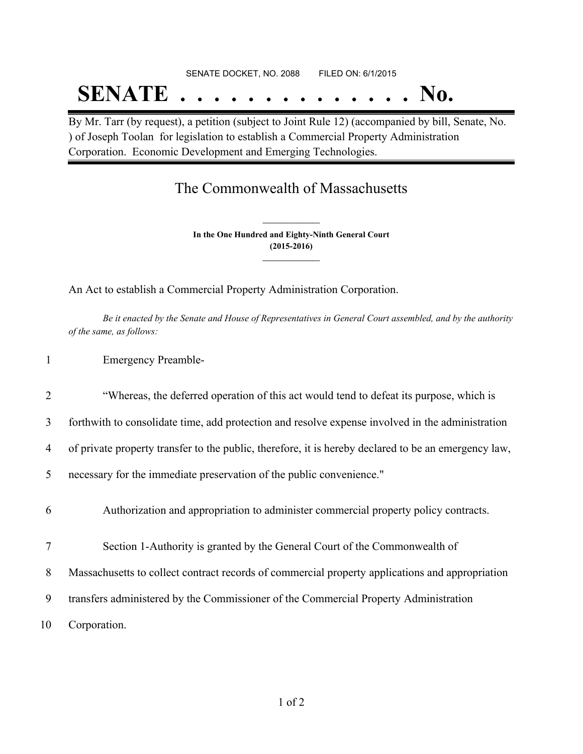## SENATE DOCKET, NO. 2088 FILED ON: 6/1/2015

# **SENATE . . . . . . . . . . . . . . No.**

By Mr. Tarr (by request), a petition (subject to Joint Rule 12) (accompanied by bill, Senate, No. ) of Joseph Toolan for legislation to establish a Commercial Property Administration Corporation. Economic Development and Emerging Technologies.

## The Commonwealth of Massachusetts

**In the One Hundred and Eighty-Ninth General Court (2015-2016) \_\_\_\_\_\_\_\_\_\_\_\_\_\_\_**

**\_\_\_\_\_\_\_\_\_\_\_\_\_\_\_**

An Act to establish a Commercial Property Administration Corporation.

Be it enacted by the Senate and House of Representatives in General Court assembled, and by the authority *of the same, as follows:*

### 1 Emergency Preamble-

### 2 "Whereas, the deferred operation of this act would tend to defeat its purpose, which is

3 forthwith to consolidate time, add protection and resolve expense involved in the administration

4 of private property transfer to the public, therefore, it is hereby declared to be an emergency law,

5 necessary for the immediate preservation of the public convenience."

6 Authorization and appropriation to administer commercial property policy contracts.

7 Section 1-Authority is granted by the General Court of the Commonwealth of

8 Massachusetts to collect contract records of commercial property applications and appropriation

9 transfers administered by the Commissioner of the Commercial Property Administration

10 Corporation.